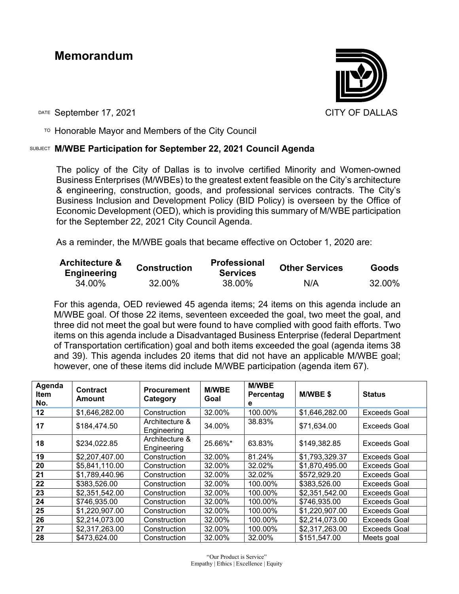# **Memorandum**



DATE September 17, 2021 CITY OF DALLAS

 $T$ <sup>O</sup> Honorable Mayor and Members of the City Council

### SUBJECT **M/WBE Participation for September 22, 2021 Council Agenda**

The policy of the City of Dallas is to involve certified Minority and Women-owned Business Enterprises (M/WBEs) to the greatest extent feasible on the City's architecture & engineering, construction, goods, and professional services contracts. The City's Business Inclusion and Development Policy (BID Policy) is overseen by the Office of Economic Development (OED), which is providing this summary of M/WBE participation for the September 22, 2021 City Council Agenda.

As a reminder, the M/WBE goals that became effective on October 1, 2020 are:

| <b>Architecture &amp;</b><br><b>Engineering</b> | <b>Construction</b> | <b>Professional</b><br><b>Services</b> | <b>Other Services</b> | <b>Goods</b> |
|-------------------------------------------------|---------------------|----------------------------------------|-----------------------|--------------|
| 34.00%                                          | 32.00%              | 38.00%                                 | N/A                   | 32.00%       |

For this agenda, OED reviewed 45 agenda items; 24 items on this agenda include an M/WBE goal. Of those 22 items, seventeen exceeded the goal, two meet the goal, and three did not meet the goal but were found to have complied with good faith efforts. Two items on this agenda include a Disadvantaged Business Enterprise (federal Department of Transportation certification) goal and both items exceeded the goal (agenda items 38 and 39). This agenda includes 20 items that did not have an applicable M/WBE goal; however, one of these items did include M/WBE participation (agenda item 67).

| Agenda<br>ltem<br>No. | <b>Contract</b><br>Amount | <b>Procurement</b><br>Category | <b>M/WBE</b><br>Goal | <b>M/WBE</b><br>Percentag<br>е | M/WBE\$        | <b>Status</b>       |
|-----------------------|---------------------------|--------------------------------|----------------------|--------------------------------|----------------|---------------------|
| 12                    | \$1,646,282.00            | Construction                   | 32.00%               | 100.00%                        | \$1,646,282.00 | <b>Exceeds Goal</b> |
| 17                    | \$184,474.50              | Architecture &<br>Engineering  | 34.00%               | 38.83%                         | \$71,634.00    | <b>Exceeds Goal</b> |
| 18                    | \$234,022.85              | Architecture &<br>Engineering  | 25.66%*              | 63.83%                         | \$149,382.85   | Exceeds Goal        |
| 19                    | \$2,207,407.00            | Construction                   | 32.00%               | 81.24%                         | \$1,793,329.37 | Exceeds Goal        |
| 20                    | \$5,841,110.00            | Construction                   | 32.00%               | 32.02%                         | \$1,870,495.00 | <b>Exceeds Goal</b> |
| 21                    | \$1,789,440.96            | Construction                   | 32.00%               | 32.02%                         | \$572,929.20   | <b>Exceeds Goal</b> |
| 22                    | \$383,526.00              | Construction                   | 32.00%               | 100.00%                        | \$383,526.00   | <b>Exceeds Goal</b> |
| 23                    | \$2,351,542.00            | Construction                   | 32.00%               | 100.00%                        | \$2,351,542.00 | <b>Exceeds Goal</b> |
| 24                    | \$746,935.00              | Construction                   | 32.00%               | 100.00%                        | \$746,935.00   | <b>Exceeds Goal</b> |
| 25                    | \$1,220,907.00            | Construction                   | 32.00%               | 100.00%                        | \$1,220,907.00 | <b>Exceeds Goal</b> |
| 26                    | \$2,214,073.00            | Construction                   | 32.00%               | 100.00%                        | \$2,214,073.00 | <b>Exceeds Goal</b> |
| 27                    | \$2,317,263.00            | Construction                   | 32.00%               | 100.00%                        | \$2,317,263.00 | Exceeds Goal        |
| 28                    | \$473,624.00              | Construction                   | 32.00%               | 32.00%                         | \$151,547.00   | Meets goal          |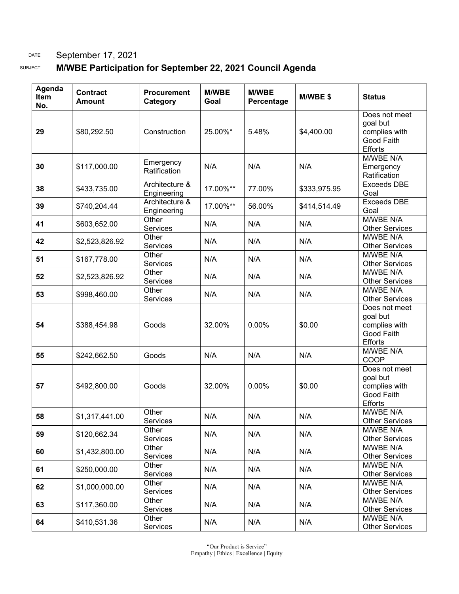# DATE September 17, 2021

## SUBJECT **M/WBE Participation for September 22, 2021 Council Agenda**

| Agenda<br>Item<br>No. | <b>Contract</b><br><b>Amount</b> | <b>Procurement</b><br>Category | <b>M/WBE</b><br>Goal | <b>M/WBE</b><br>Percentage | M/WBE\$      | <b>Status</b>                                                              |
|-----------------------|----------------------------------|--------------------------------|----------------------|----------------------------|--------------|----------------------------------------------------------------------------|
| 29                    | \$80,292.50                      | Construction                   | 25.00%*              | 5.48%                      | \$4,400.00   | Does not meet<br>goal but<br>complies with<br>Good Faith<br><b>Efforts</b> |
| 30                    | \$117,000.00                     | Emergency<br>Ratification      | N/A                  | N/A                        | N/A          | M/WBE N/A<br>Emergency<br>Ratification                                     |
| 38                    | \$433,735.00                     | Architecture &<br>Engineering  | 17.00%**             | 77.00%                     | \$333,975.95 | <b>Exceeds DBE</b><br>Goal                                                 |
| 39                    | \$740,204.44                     | Architecture &<br>Engineering  | 17.00%**             | 56.00%                     | \$414,514.49 | <b>Exceeds DBE</b><br>Goal                                                 |
| 41                    | \$603,652.00                     | Other<br>Services              | N/A                  | N/A                        | N/A          | M/WBE N/A<br><b>Other Services</b>                                         |
| 42                    | \$2,523,826.92                   | Other<br>Services              | N/A                  | N/A                        | N/A          | M/WBE N/A<br><b>Other Services</b>                                         |
| 51                    | \$167,778.00                     | Other<br>Services              | N/A                  | N/A                        | N/A          | M/WBE N/A<br><b>Other Services</b>                                         |
| 52                    | \$2,523,826.92                   | Other<br>Services              | N/A                  | N/A                        | N/A          | M/WBE N/A<br><b>Other Services</b>                                         |
| 53                    | \$998,460.00                     | Other<br>Services              | N/A                  | N/A                        | N/A          | M/WBE N/A<br><b>Other Services</b>                                         |
| 54                    | \$388,454.98                     | Goods                          | 32.00%               | 0.00%                      | \$0.00       | Does not meet<br>goal but<br>complies with<br>Good Faith<br>Efforts        |
| 55                    | \$242,662.50                     | Goods                          | N/A                  | N/A                        | N/A          | M/WBE N/A<br>COOP                                                          |
| 57                    | \$492,800.00                     | Goods                          | 32.00%               | 0.00%                      | \$0.00       | Does not meet<br>goal but<br>complies with<br>Good Faith<br><b>Efforts</b> |
| 58                    | \$1,317,441.00                   | Other<br>Services              | N/A                  | N/A                        | N/A          | M/WBE N/A<br><b>Other Services</b>                                         |
| 59                    | \$120,662.34                     | Other<br>Services              | N/A                  | N/A                        | N/A          | M/WBE N/A<br><b>Other Services</b>                                         |
| 60                    | \$1,432,800.00                   | Other<br>Services              | N/A                  | N/A                        | N/A          | M/WBE N/A<br><b>Other Services</b>                                         |
| 61                    | \$250,000.00                     | Other<br>Services              | N/A                  | N/A                        | N/A          | M/WBE N/A<br><b>Other Services</b>                                         |
| 62                    | \$1,000,000.00                   | Other<br>Services              | N/A                  | N/A                        | N/A          | M/WBE N/A<br><b>Other Services</b>                                         |
| 63                    | \$117,360.00                     | Other<br>Services              | N/A                  | N/A                        | N/A          | M/WBE N/A<br><b>Other Services</b>                                         |
| 64                    | \$410,531.36                     | Other<br>Services              | N/A                  | N/A                        | N/A          | M/WBE N/A<br><b>Other Services</b>                                         |

"Our Product is Service" Empathy | Ethics | Excellence | Equity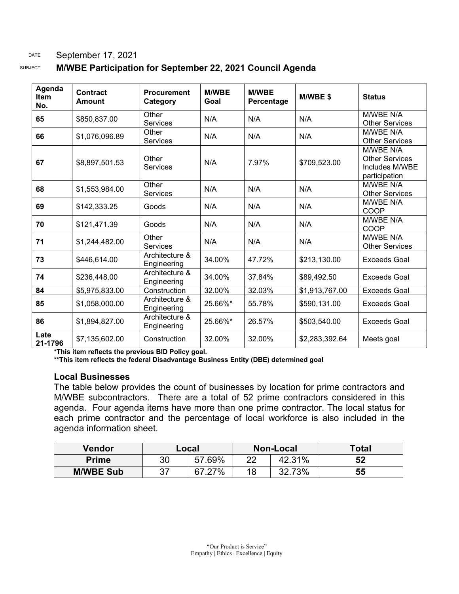### DATE September 17, 2021

SUBJECT **M/WBE Participation for September 22, 2021 Council Agenda** 

| Agenda<br><b>Item</b><br>No. | <b>Contract</b><br>Amount | <b>Procurement</b><br>Category | <b>M/WBE</b><br>Goal | <b>M/WBE</b><br>Percentage | <b>M/WBE\$</b> | <b>Status</b>                                                         |
|------------------------------|---------------------------|--------------------------------|----------------------|----------------------------|----------------|-----------------------------------------------------------------------|
| 65                           | \$850,837.00              | Other<br><b>Services</b>       | N/A                  | N/A                        | N/A            | M/WBE N/A<br><b>Other Services</b>                                    |
| 66                           | \$1,076,096.89            | Other<br><b>Services</b>       | N/A                  | N/A                        | N/A            | M/WBE N/A<br><b>Other Services</b>                                    |
| 67                           | \$8,897,501.53            | Other<br><b>Services</b>       | N/A                  | 7.97%                      | \$709,523.00   | M/WBE N/A<br><b>Other Services</b><br>Includes M/WBE<br>participation |
| 68                           | \$1,553,984.00            | Other<br><b>Services</b>       | N/A                  | N/A                        | N/A            | M/WBE N/A<br><b>Other Services</b>                                    |
| 69                           | \$142,333.25              | Goods                          | N/A                  | N/A                        | N/A            | M/WBE N/A<br>COOP                                                     |
| 70                           | \$121,471.39              | Goods                          | N/A                  | N/A                        | N/A            | M/WBE N/A<br>COOP                                                     |
| 71                           | \$1,244,482.00            | Other<br><b>Services</b>       | N/A                  | N/A                        | N/A            | M/WBE N/A<br><b>Other Services</b>                                    |
| 73                           | \$446,614.00              | Architecture &<br>Engineering  | 34.00%               | 47.72%                     | \$213,130.00   | <b>Exceeds Goal</b>                                                   |
| 74                           | \$236,448.00              | Architecture &<br>Engineering  | 34.00%               | 37.84%                     | \$89,492.50    | Exceeds Goal                                                          |
| 84                           | \$5,975,833.00            | Construction                   | 32.00%               | 32.03%                     | \$1,913,767.00 | <b>Exceeds Goal</b>                                                   |
| 85                           | \$1,058,000.00            | Architecture &<br>Engineering  | 25.66%*              | 55.78%                     | \$590,131.00   | <b>Exceeds Goal</b>                                                   |
| 86                           | \$1,894,827.00            | Architecture &<br>Engineering  | 25.66%*              | 26.57%                     | \$503,540.00   | <b>Exceeds Goal</b>                                                   |
| Late<br>21-1796              | \$7,135,602.00            | Construction                   | 32.00%               | 32.00%                     | \$2,283,392.64 | Meets goal                                                            |

**\*This item reflects the previous BID Policy goal.**

**\*\*This item reflects the federal Disadvantage Business Entity (DBE) determined goal**

#### **Local Businesses**

The table below provides the count of businesses by location for prime contractors and M/WBE subcontractors. There are a total of 52 prime contractors considered in this agenda. Four agenda items have more than one prime contractor. The local status for each prime contractor and the percentage of local workforce is also included in the agenda information sheet.

| Vendor           | Local |              |          | Non-Local | Total |
|------------------|-------|--------------|----------|-----------|-------|
| <b>Prime</b>     | 30    | 57.69%       | າາ<br>∠∠ | 42.31%    | 52    |
| <b>M/WBE Sub</b> |       | $27\%$<br>67 | 18       | 73%<br>າາ | 55    |